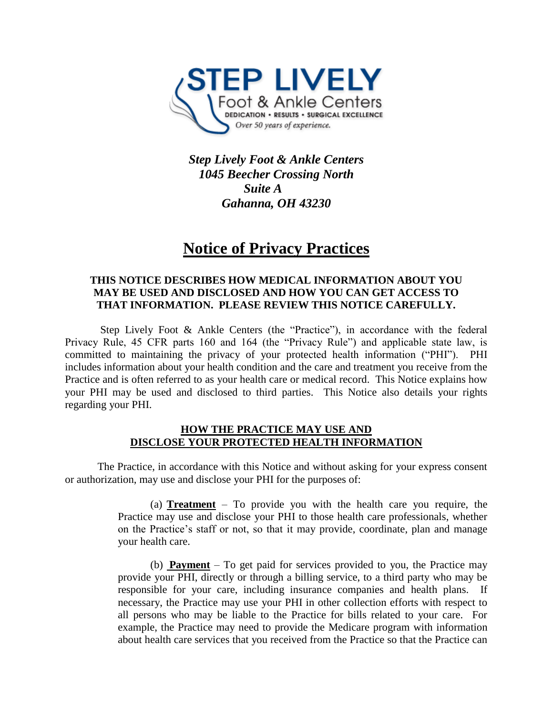

*Step Lively Foot & Ankle Centers 1045 Beecher Crossing North Suite A Gahanna, OH 43230* 

# **Notice of Privacy Practices**

### **THIS NOTICE DESCRIBES HOW MEDICAL INFORMATION ABOUT YOU MAY BE USED AND DISCLOSED AND HOW YOU CAN GET ACCESS TO THAT INFORMATION. PLEASE REVIEW THIS NOTICE CAREFULLY.**

Step Lively Foot & Ankle Centers (the "Practice"), in accordance with the federal Privacy Rule, 45 CFR parts 160 and 164 (the "Privacy Rule") and applicable state law, is committed to maintaining the privacy of your protected health information ("PHI"). PHI includes information about your health condition and the care and treatment you receive from the Practice and is often referred to as your health care or medical record. This Notice explains how your PHI may be used and disclosed to third parties. This Notice also details your rights regarding your PHI.

### **HOW THE PRACTICE MAY USE AND DISCLOSE YOUR PROTECTED HEALTH INFORMATION**

The Practice, in accordance with this Notice and without asking for your express consent or authorization, may use and disclose your PHI for the purposes of:

> (a) **Treatment** – To provide you with the health care you require, the Practice may use and disclose your PHI to those health care professionals, whether on the Practice's staff or not, so that it may provide, coordinate, plan and manage your health care.

> (b) **Payment** – To get paid for services provided to you, the Practice may provide your PHI, directly or through a billing service, to a third party who may be responsible for your care, including insurance companies and health plans. If necessary, the Practice may use your PHI in other collection efforts with respect to all persons who may be liable to the Practice for bills related to your care. For example, the Practice may need to provide the Medicare program with information about health care services that you received from the Practice so that the Practice can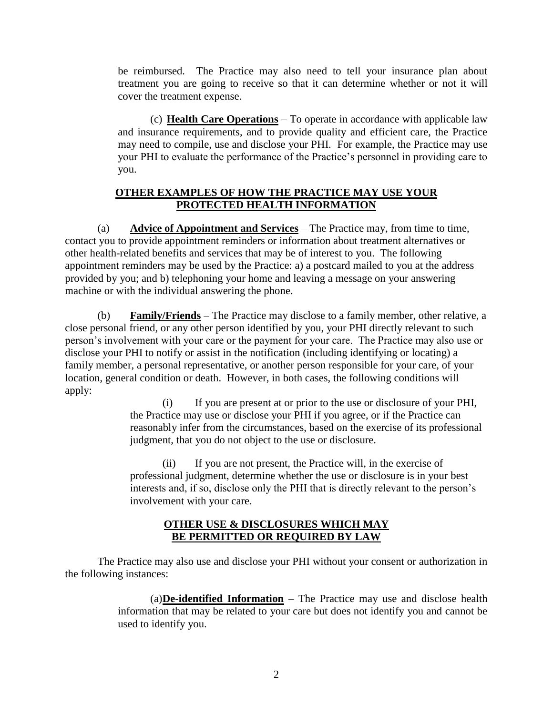be reimbursed. The Practice may also need to tell your insurance plan about treatment you are going to receive so that it can determine whether or not it will cover the treatment expense.

(c) **Health Care Operations** – To operate in accordance with applicable law and insurance requirements, and to provide quality and efficient care, the Practice may need to compile, use and disclose your PHI. For example, the Practice may use your PHI to evaluate the performance of the Practice's personnel in providing care to you.

## **OTHER EXAMPLES OF HOW THE PRACTICE MAY USE YOUR PROTECTED HEALTH INFORMATION**

(a) **Advice of Appointment and Services** – The Practice may, from time to time, contact you to provide appointment reminders or information about treatment alternatives or other health-related benefits and services that may be of interest to you. The following appointment reminders may be used by the Practice: a) a postcard mailed to you at the address provided by you; and b) telephoning your home and leaving a message on your answering machine or with the individual answering the phone.

(b) **Family/Friends** – The Practice may disclose to a family member, other relative, a close personal friend, or any other person identified by you, your PHI directly relevant to such person's involvement with your care or the payment for your care. The Practice may also use or disclose your PHI to notify or assist in the notification (including identifying or locating) a family member, a personal representative, or another person responsible for your care, of your location, general condition or death. However, in both cases, the following conditions will apply:

(i) If you are present at or prior to the use or disclosure of your PHI, the Practice may use or disclose your PHI if you agree, or if the Practice can reasonably infer from the circumstances, based on the exercise of its professional judgment, that you do not object to the use or disclosure.

(ii) If you are not present, the Practice will, in the exercise of professional judgment, determine whether the use or disclosure is in your best interests and, if so, disclose only the PHI that is directly relevant to the person's involvement with your care.

## **OTHER USE & DISCLOSURES WHICH MAY BE PERMITTED OR REQUIRED BY LAW**

The Practice may also use and disclose your PHI without your consent or authorization in the following instances:

> (a)**De-identified Information** – The Practice may use and disclose health information that may be related to your care but does not identify you and cannot be used to identify you.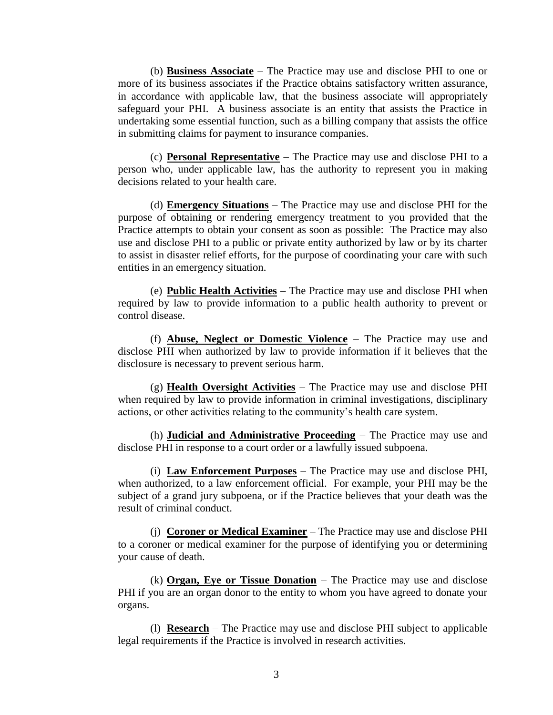(b) **Business Associate** – The Practice may use and disclose PHI to one or more of its business associates if the Practice obtains satisfactory written assurance, in accordance with applicable law, that the business associate will appropriately safeguard your PHI. A business associate is an entity that assists the Practice in undertaking some essential function, such as a billing company that assists the office in submitting claims for payment to insurance companies.

(c) **Personal Representative** – The Practice may use and disclose PHI to a person who, under applicable law, has the authority to represent you in making decisions related to your health care.

(d) **Emergency Situations** – The Practice may use and disclose PHI for the purpose of obtaining or rendering emergency treatment to you provided that the Practice attempts to obtain your consent as soon as possible: The Practice may also use and disclose PHI to a public or private entity authorized by law or by its charter to assist in disaster relief efforts, for the purpose of coordinating your care with such entities in an emergency situation.

(e) **Public Health Activities** – The Practice may use and disclose PHI when required by law to provide information to a public health authority to prevent or control disease.

(f) **Abuse, Neglect or Domestic Violence** – The Practice may use and disclose PHI when authorized by law to provide information if it believes that the disclosure is necessary to prevent serious harm.

(g) **Health Oversight Activities** – The Practice may use and disclose PHI when required by law to provide information in criminal investigations, disciplinary actions, or other activities relating to the community's health care system.

(h) **Judicial and Administrative Proceeding** – The Practice may use and disclose PHI in response to a court order or a lawfully issued subpoena.

(i) **Law Enforcement Purposes** – The Practice may use and disclose PHI, when authorized, to a law enforcement official. For example, your PHI may be the subject of a grand jury subpoena, or if the Practice believes that your death was the result of criminal conduct.

(j) **Coroner or Medical Examiner** – The Practice may use and disclose PHI to a coroner or medical examiner for the purpose of identifying you or determining your cause of death.

(k) **Organ, Eye or Tissue Donation** – The Practice may use and disclose PHI if you are an organ donor to the entity to whom you have agreed to donate your organs.

(l) **Research** – The Practice may use and disclose PHI subject to applicable legal requirements if the Practice is involved in research activities.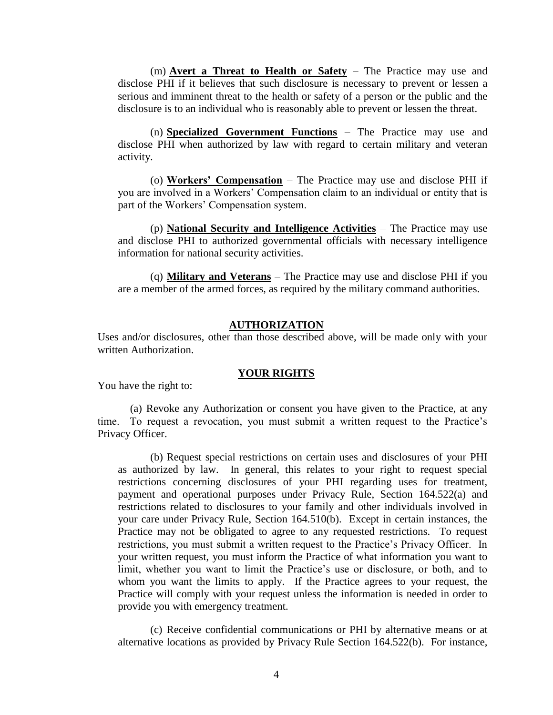(m) **Avert a Threat to Health or Safety** – The Practice may use and disclose PHI if it believes that such disclosure is necessary to prevent or lessen a serious and imminent threat to the health or safety of a person or the public and the disclosure is to an individual who is reasonably able to prevent or lessen the threat.

(n) **Specialized Government Functions** – The Practice may use and disclose PHI when authorized by law with regard to certain military and veteran activity.

(o) **Workers' Compensation** – The Practice may use and disclose PHI if you are involved in a Workers' Compensation claim to an individual or entity that is part of the Workers' Compensation system.

(p) **National Security and Intelligence Activities** – The Practice may use and disclose PHI to authorized governmental officials with necessary intelligence information for national security activities.

(q) **Military and Veterans** – The Practice may use and disclose PHI if you are a member of the armed forces, as required by the military command authorities.

#### **AUTHORIZATION**

Uses and/or disclosures, other than those described above, will be made only with your written Authorization.

#### **YOUR RIGHTS**

You have the right to:

(a) Revoke any Authorization or consent you have given to the Practice, at any time. To request a revocation, you must submit a written request to the Practice's Privacy Officer.

(b) Request special restrictions on certain uses and disclosures of your PHI as authorized by law. In general, this relates to your right to request special restrictions concerning disclosures of your PHI regarding uses for treatment, payment and operational purposes under Privacy Rule, Section 164.522(a) and restrictions related to disclosures to your family and other individuals involved in your care under Privacy Rule, Section 164.510(b). Except in certain instances, the Practice may not be obligated to agree to any requested restrictions. To request restrictions, you must submit a written request to the Practice's Privacy Officer. In your written request, you must inform the Practice of what information you want to limit, whether you want to limit the Practice's use or disclosure, or both, and to whom you want the limits to apply. If the Practice agrees to your request, the Practice will comply with your request unless the information is needed in order to provide you with emergency treatment.

(c) Receive confidential communications or PHI by alternative means or at alternative locations as provided by Privacy Rule Section 164.522(b). For instance,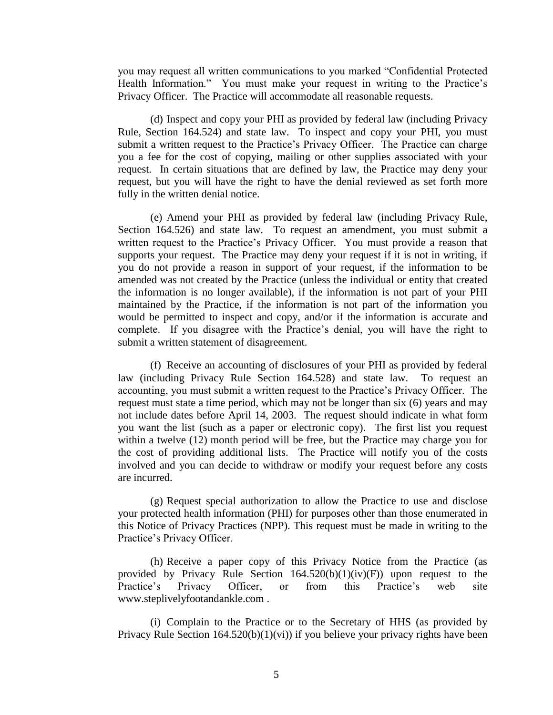you may request all written communications to you marked "Confidential Protected Health Information." You must make your request in writing to the Practice's Privacy Officer. The Practice will accommodate all reasonable requests.

(d) Inspect and copy your PHI as provided by federal law (including Privacy Rule, Section 164.524) and state law. To inspect and copy your PHI, you must submit a written request to the Practice's Privacy Officer. The Practice can charge you a fee for the cost of copying, mailing or other supplies associated with your request. In certain situations that are defined by law, the Practice may deny your request, but you will have the right to have the denial reviewed as set forth more fully in the written denial notice.

(e) Amend your PHI as provided by federal law (including Privacy Rule, Section 164.526) and state law. To request an amendment, you must submit a written request to the Practice's Privacy Officer. You must provide a reason that supports your request. The Practice may deny your request if it is not in writing, if you do not provide a reason in support of your request, if the information to be amended was not created by the Practice (unless the individual or entity that created the information is no longer available), if the information is not part of your PHI maintained by the Practice, if the information is not part of the information you would be permitted to inspect and copy, and/or if the information is accurate and complete. If you disagree with the Practice's denial, you will have the right to submit a written statement of disagreement.

(f) Receive an accounting of disclosures of your PHI as provided by federal law (including Privacy Rule Section 164.528) and state law. To request an accounting, you must submit a written request to the Practice's Privacy Officer. The request must state a time period, which may not be longer than six (6) years and may not include dates before April 14, 2003. The request should indicate in what form you want the list (such as a paper or electronic copy). The first list you request within a twelve (12) month period will be free, but the Practice may charge you for the cost of providing additional lists. The Practice will notify you of the costs involved and you can decide to withdraw or modify your request before any costs are incurred.

(g) Request special authorization to allow the Practice to use and disclose your protected health information (PHI) for purposes other than those enumerated in this Notice of Privacy Practices (NPP). This request must be made in writing to the Practice's Privacy Officer.

(h) Receive a paper copy of this Privacy Notice from the Practice (as provided by Privacy Rule Section  $164.520(b)(1)(iv)(F)$  upon request to the Practice's Privacy Officer, or from this Practice's web site www.steplivelyfootandankle.com .

(i) Complain to the Practice or to the Secretary of HHS (as provided by Privacy Rule Section  $164.520(b)(1)(vi)$  if you believe your privacy rights have been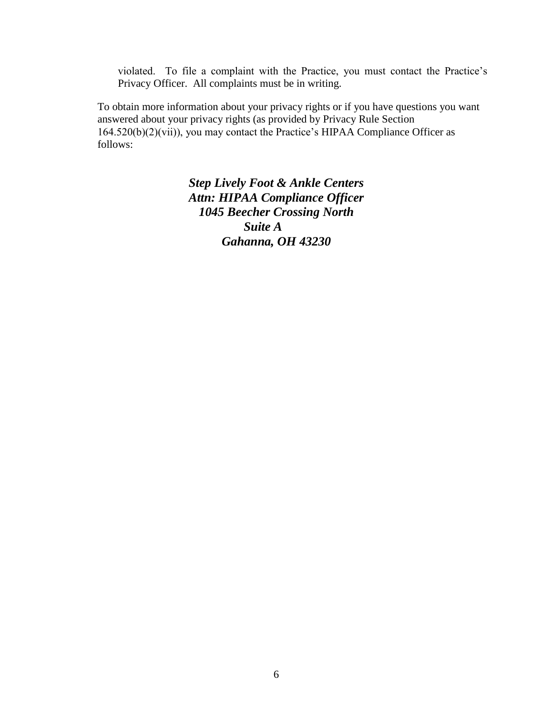violated. To file a complaint with the Practice, you must contact the Practice's Privacy Officer. All complaints must be in writing.

To obtain more information about your privacy rights or if you have questions you want answered about your privacy rights (as provided by Privacy Rule Section 164.520(b)(2)(vii)), you may contact the Practice's HIPAA Compliance Officer as follows:

> *Step Lively Foot & Ankle Centers Attn: HIPAA Compliance Officer 1045 Beecher Crossing North Suite A Gahanna, OH 43230*